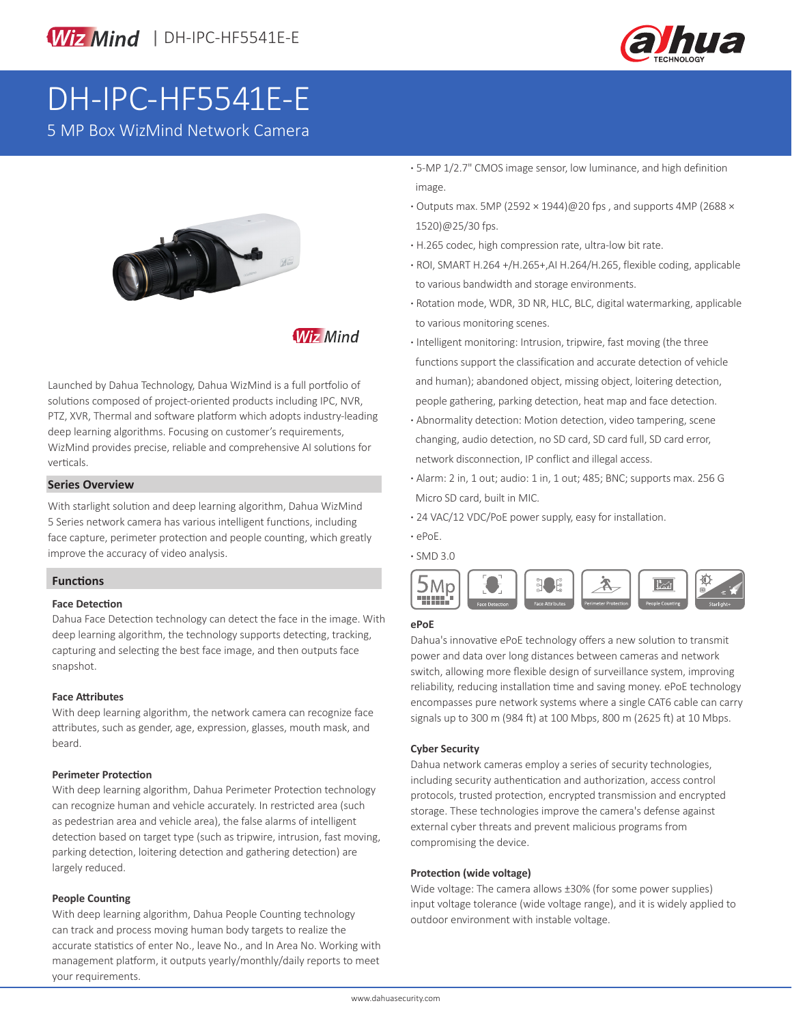

# DH-IPC-HF5541E-E

5 MP Box WizMind Network Camera



### **Wiz Mind**

Launched by Dahua Technology, Dahua WizMind is a full portfolio of solutions composed of project-oriented products including IPC, NVR, PTZ, XVR, Thermal and software platform which adopts industry-leading deep learning algorithms. Focusing on customer's requirements, WizMind provides precise, reliable and comprehensive AI solutions for verticals.

#### **Series Overview**

With starlight solution and deep learning algorithm, Dahua WizMind 5 Series network camera has various intelligent functions, including face capture, perimeter protection and people counting, which greatly improve the accuracy of video analysis.

#### **Functions**

#### **Face Detection**

Dahua Face Detection technology can detect the face in the image. With deep learning algorithm, the technology supports detecting, tracking, capturing and selecting the best face image, and then outputs face snapshot.

#### **Face Attributes**

With deep learning algorithm, the network camera can recognize face attributes, such as gender, age, expression, glasses, mouth mask, and beard.

#### **Perimeter Protection**

With deep learning algorithm, Dahua Perimeter Protection technology can recognize human and vehicle accurately. In restricted area (such as pedestrian area and vehicle area), the false alarms of intelligent detection based on target type (such as tripwire, intrusion, fast moving, parking detection, loitering detection and gathering detection) are largely reduced.

#### **People Counting**

With deep learning algorithm, Dahua People Counting technology can track and process moving human body targets to realize the accurate statistics of enter No., leave No., and In Area No. Working with management platform, it outputs yearly/monthly/daily reports to meet your requirements.

- **·** 5-MP 1/2.7" CMOS image sensor, low luminance, and high definition image.
- **·** Outputs max. 5MP (2592 × 1944)@20 fps , and supports 4MP (2688 × 1520)@25/30 fps.
- **·** H.265 codec, high compression rate, ultra-low bit rate.
- **·** ROI, SMART H.264 +/H.265+,AI H.264/H.265, flexible coding, applicable to various bandwidth and storage environments.
- **·** Rotation mode, WDR, 3D NR, HLC, BLC, digital watermarking, applicable to various monitoring scenes.
- **·** Intelligent monitoring: Intrusion, tripwire, fast moving (the three functions support the classification and accurate detection of vehicle and human); abandoned object, missing object, loitering detection, people gathering, parking detection, heat map and face detection.
- **·** Abnormality detection: Motion detection, video tampering, scene changing, audio detection, no SD card, SD card full, SD card error, network disconnection, IP conflict and illegal access.
- **·** Alarm: 2 in, 1 out; audio: 1 in, 1 out; 485; BNC; supports max. 256 G Micro SD card, built in MIC.
- **·** 24 VAC/12 VDC/PoE power supply, easy for installation.
- **·** ePoE.

**·** SMD 3.0



#### **ePoE**

Dahua's innovative ePoE technology offers a new solution to transmit power and data over long distances between cameras and network switch, allowing more flexible design of surveillance system, improving reliability, reducing installation time and saving money. ePoE technology encompasses pure network systems where a single CAT6 cable can carry signals up to 300 m (984 ft) at 100 Mbps, 800 m (2625 ft) at 10 Mbps.

#### **Cyber Security**

Dahua network cameras employ a series of security technologies, including security authentication and authorization, access control protocols, trusted protection, encrypted transmission and encrypted storage. These technologies improve the camera's defense against external cyber threats and prevent malicious programs from compromising the device.

#### **Protection (wide voltage)**

Wide voltage: The camera allows ±30% (for some power supplies) input voltage tolerance (wide voltage range), and it is widely applied to outdoor environment with instable voltage.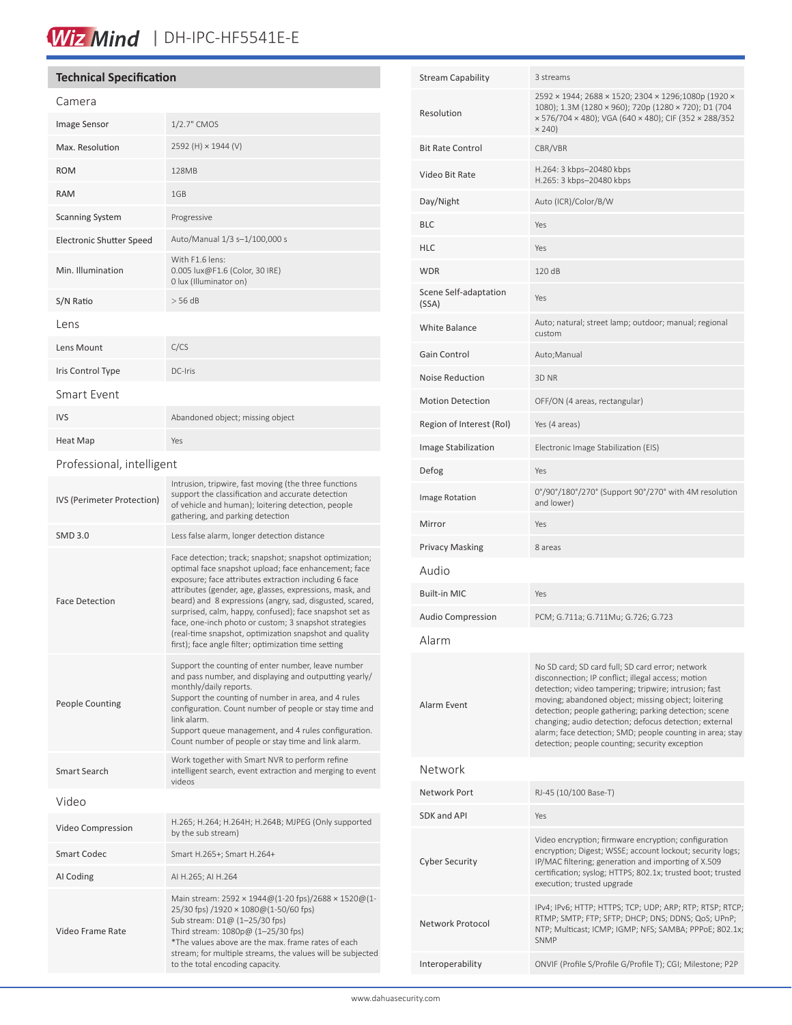## Wiz Mind | DH-IPC-HF5541E-E

#### **Technical Specification**

People Counting

Smart Search

Video Frame Rate

Video

| Camera                            |                                                                                                                                                                                                                                                                                                                                                                                                                                                                                                                                        |  |
|-----------------------------------|----------------------------------------------------------------------------------------------------------------------------------------------------------------------------------------------------------------------------------------------------------------------------------------------------------------------------------------------------------------------------------------------------------------------------------------------------------------------------------------------------------------------------------------|--|
| Image Sensor                      | 1/2.7" CMOS                                                                                                                                                                                                                                                                                                                                                                                                                                                                                                                            |  |
| Max. Resolution                   | 2592 (H) × 1944 (V)                                                                                                                                                                                                                                                                                                                                                                                                                                                                                                                    |  |
| <b>ROM</b>                        | 128MB                                                                                                                                                                                                                                                                                                                                                                                                                                                                                                                                  |  |
| <b>RAM</b>                        | 1GB                                                                                                                                                                                                                                                                                                                                                                                                                                                                                                                                    |  |
| <b>Scanning System</b>            | Progressive                                                                                                                                                                                                                                                                                                                                                                                                                                                                                                                            |  |
| <b>Electronic Shutter Speed</b>   | Auto/Manual 1/3 s-1/100,000 s                                                                                                                                                                                                                                                                                                                                                                                                                                                                                                          |  |
| Min. Illumination                 | With F1.6 lens:<br>0.005 lux@F1.6 (Color, 30 IRE)<br>0 lux (Illuminator on)                                                                                                                                                                                                                                                                                                                                                                                                                                                            |  |
| S/N Ratio                         | $>$ 56 dB                                                                                                                                                                                                                                                                                                                                                                                                                                                                                                                              |  |
| Lens                              |                                                                                                                                                                                                                                                                                                                                                                                                                                                                                                                                        |  |
| Lens Mount                        | C/CS                                                                                                                                                                                                                                                                                                                                                                                                                                                                                                                                   |  |
| Iris Control Type                 | DC-Iris                                                                                                                                                                                                                                                                                                                                                                                                                                                                                                                                |  |
| Smart Event                       |                                                                                                                                                                                                                                                                                                                                                                                                                                                                                                                                        |  |
| <b>IVS</b>                        | Abandoned object; missing object                                                                                                                                                                                                                                                                                                                                                                                                                                                                                                       |  |
| <b>Heat Map</b>                   | Yes                                                                                                                                                                                                                                                                                                                                                                                                                                                                                                                                    |  |
| Professional, intelligent         |                                                                                                                                                                                                                                                                                                                                                                                                                                                                                                                                        |  |
| <b>IVS (Perimeter Protection)</b> | Intrusion, tripwire, fast moving (the three functions<br>support the classification and accurate detection<br>of vehicle and human); loitering detection, people<br>gathering, and parking detection                                                                                                                                                                                                                                                                                                                                   |  |
| <b>SMD 3.0</b>                    | Less false alarm, longer detection distance                                                                                                                                                                                                                                                                                                                                                                                                                                                                                            |  |
| <b>Face Detection</b>             | Face detection; track; snapshot; snapshot optimization;<br>optimal face snapshot upload; face enhancement; face<br>exposure; face attributes extraction including 6 face<br>attributes (gender, age, glasses, expressions, mask, and<br>beard) and 8 expressions (angry, sad, disgusted, scared,<br>surprised, calm, happy, confused); face snapshot set as<br>face, one-inch photo or custom; 3 snapshot strategies<br>(real-time snapshot, optimization snapshot and quality<br>first); face angle filter; optimization time setting |  |
|                                   | Support the counting of enter number, leave number<br>and pass number, and displaying and outputting yearly/<br>monthly/daily reports.<br>Support the counting of number in area, and 4 rules                                                                                                                                                                                                                                                                                                                                          |  |

configuration. Count number of people or stay time and

Support queue management, and 4 rules configuration. Count number of people or stay time and link alarm.

Main stream: 2592 × 1944@(1-20 fps)/2688 × 1520@(1-

\*The values above are the max. frame rates of each stream; for multiple streams, the values will be subjected

25/30 fps) /1920 × 1080@(1-50/60 fps) Sub stream: D1@ (1–25/30 fps) Third stream: 1080p@ (1–25/30 fps)

to the total encoding capacity.

Work together with Smart NVR to perform refine intelligent search, event extraction and merging to event

link alarm.

videos

Smart Codec Smart H.265+; Smart H.264+

AI Coding AI H.265; AI H.264

Video Compression H.265; H.264; H.264H; H.264B; MJPEG (Only supported by the sub stream)

| <b>Stream Capability</b>       | 3 streams                                                                                                                                                                                                                                                                                                                                                                                                                                                |  |
|--------------------------------|----------------------------------------------------------------------------------------------------------------------------------------------------------------------------------------------------------------------------------------------------------------------------------------------------------------------------------------------------------------------------------------------------------------------------------------------------------|--|
| Resolution                     | 2592 × 1944; 2688 × 1520; 2304 × 1296;1080p (1920 ×<br>1080); 1.3M (1280 × 960); 720p (1280 × 720); D1 (704<br>× 576/704 × 480); VGA (640 × 480); CIF (352 × 288/352<br>$\times$ 240)                                                                                                                                                                                                                                                                    |  |
| <b>Bit Rate Control</b>        | CBR/VBR                                                                                                                                                                                                                                                                                                                                                                                                                                                  |  |
| Video Bit Rate                 | H.264: 3 kbps-20480 kbps<br>H.265: 3 kbps-20480 kbps                                                                                                                                                                                                                                                                                                                                                                                                     |  |
| Day/Night                      | Auto (ICR)/Color/B/W                                                                                                                                                                                                                                                                                                                                                                                                                                     |  |
| <b>BLC</b>                     | Yes                                                                                                                                                                                                                                                                                                                                                                                                                                                      |  |
| <b>HLC</b>                     | Yes                                                                                                                                                                                                                                                                                                                                                                                                                                                      |  |
| <b>WDR</b>                     | 120 dB                                                                                                                                                                                                                                                                                                                                                                                                                                                   |  |
| Scene Self-adaptation<br>(SSA) | Yes                                                                                                                                                                                                                                                                                                                                                                                                                                                      |  |
| <b>White Balance</b>           | Auto; natural; street lamp; outdoor; manual; regional<br>custom                                                                                                                                                                                                                                                                                                                                                                                          |  |
| Gain Control                   | Auto;Manual                                                                                                                                                                                                                                                                                                                                                                                                                                              |  |
| <b>Noise Reduction</b>         | 3D NR                                                                                                                                                                                                                                                                                                                                                                                                                                                    |  |
| <b>Motion Detection</b>        | OFF/ON (4 areas, rectangular)                                                                                                                                                                                                                                                                                                                                                                                                                            |  |
| Region of Interest (RoI)       | Yes (4 areas)                                                                                                                                                                                                                                                                                                                                                                                                                                            |  |
| Image Stabilization            | Electronic Image Stabilization (EIS)                                                                                                                                                                                                                                                                                                                                                                                                                     |  |
| Defog                          | Yes                                                                                                                                                                                                                                                                                                                                                                                                                                                      |  |
| Image Rotation                 | 0°/90°/180°/270° (Support 90°/270° with 4M resolution<br>and lower)                                                                                                                                                                                                                                                                                                                                                                                      |  |
| Mirror                         | Yes                                                                                                                                                                                                                                                                                                                                                                                                                                                      |  |
| <b>Privacy Masking</b>         | 8 areas                                                                                                                                                                                                                                                                                                                                                                                                                                                  |  |
| Audio                          |                                                                                                                                                                                                                                                                                                                                                                                                                                                          |  |
| <b>Built-in MIC</b>            | Yes                                                                                                                                                                                                                                                                                                                                                                                                                                                      |  |
| <b>Audio Compression</b>       | PCM; G.711a; G.711Mu; G.726; G.723                                                                                                                                                                                                                                                                                                                                                                                                                       |  |
| Alarm                          |                                                                                                                                                                                                                                                                                                                                                                                                                                                          |  |
| Alarm Event                    | No SD card; SD card full; SD card error; network<br>disconnection; IP conflict; illegal access; motion<br>detection; video tampering; tripwire; intrusion; fast<br>moving; abandoned object; missing object; loitering<br>detection; people gathering; parking detection; scene<br>changing; audio detection; defocus detection; external<br>alarm; face detection; SMD; people counting in area; stay<br>detection; people counting; security exception |  |
| Network                        |                                                                                                                                                                                                                                                                                                                                                                                                                                                          |  |
| Network Port                   | RJ-45 (10/100 Base-T)                                                                                                                                                                                                                                                                                                                                                                                                                                    |  |
| SDK and API                    | Yes                                                                                                                                                                                                                                                                                                                                                                                                                                                      |  |
| <b>Cyber Security</b>          | Video encryption; firmware encryption; configuration<br>encryption; Digest; WSSE; account lockout; security logs;<br>IP/MAC filtering; generation and importing of X.509<br>certification; syslog; HTTPS; 802.1x; trusted boot; trusted<br>execution; trusted upgrade                                                                                                                                                                                    |  |
| Network Protocol               | IPv4; IPv6; HTTP; HTTPS; TCP; UDP; ARP; RTP; RTSP; RTCP;<br>RTMP; SMTP; FTP; SFTP; DHCP; DNS; DDNS; QoS; UPnP;<br>NTP; Multicast; ICMP; IGMP; NFS; SAMBA; PPPoE; 802.1x;<br><b>SNMP</b>                                                                                                                                                                                                                                                                  |  |
| Interoperability               | ONVIF (Profile S/Profile G/Profile T); CGI; Milestone; P2P                                                                                                                                                                                                                                                                                                                                                                                               |  |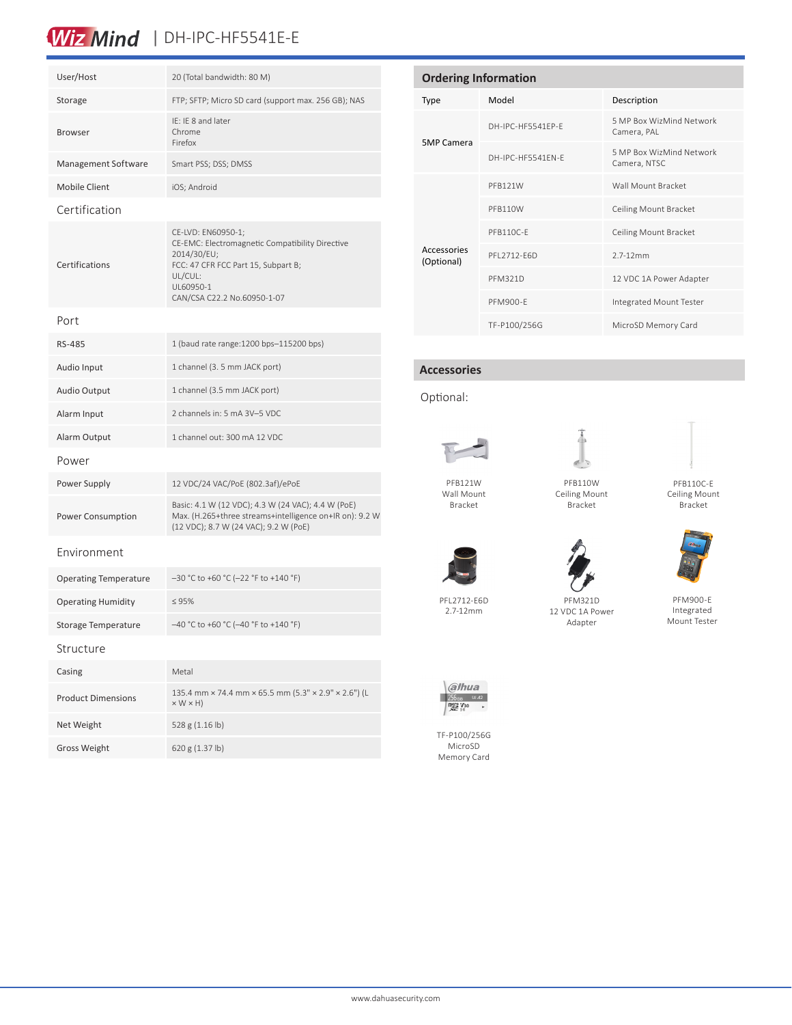### Wiz Mind | DH-IPC-HF5541E-E

| User/Host                    | 20 (Total bandwidth: 80 M)                                                                                                                                                         |  |  |  |
|------------------------------|------------------------------------------------------------------------------------------------------------------------------------------------------------------------------------|--|--|--|
| Storage                      | FTP; SFTP; Micro SD card (support max. 256 GB); NAS                                                                                                                                |  |  |  |
| <b>Browser</b>               | IE: IE 8 and later<br>Chrome<br>Firefox                                                                                                                                            |  |  |  |
| Management Software          | Smart PSS; DSS; DMSS                                                                                                                                                               |  |  |  |
| <b>Mobile Client</b>         | iOS; Android                                                                                                                                                                       |  |  |  |
| Certification                |                                                                                                                                                                                    |  |  |  |
| Certifications               | CE-LVD: EN60950-1;<br>CE-EMC: Electromagnetic Compatibility Directive<br>2014/30/EU;<br>FCC: 47 CFR FCC Part 15, Subpart B;<br>UL/CUL:<br>UL60950-1<br>CAN/CSA C22.2 No.60950-1-07 |  |  |  |
| Port                         |                                                                                                                                                                                    |  |  |  |
| RS-485                       | 1 (baud rate range: 1200 bps-115200 bps)                                                                                                                                           |  |  |  |
| Audio Input                  | 1 channel (3. 5 mm JACK port)                                                                                                                                                      |  |  |  |
| Audio Output                 | 1 channel (3.5 mm JACK port)                                                                                                                                                       |  |  |  |
| Alarm Input                  | 2 channels in: 5 mA 3V-5 VDC                                                                                                                                                       |  |  |  |
| Alarm Output                 | 1 channel out: 300 mA 12 VDC                                                                                                                                                       |  |  |  |
| Power                        |                                                                                                                                                                                    |  |  |  |
| Power Supply                 | 12 VDC/24 VAC/PoE (802.3af)/ePoE                                                                                                                                                   |  |  |  |
| <b>Power Consumption</b>     | Basic: 4.1 W (12 VDC); 4.3 W (24 VAC); 4.4 W (PoE)<br>Max. (H.265+three streams+intelligence on+IR on): 9.2 W<br>(12 VDC); 8.7 W (24 VAC); 9.2 W (PoE)                             |  |  |  |
| Environment                  |                                                                                                                                                                                    |  |  |  |
| <b>Operating Temperature</b> | -30 °C to +60 °C (-22 °F to +140 °F)                                                                                                                                               |  |  |  |
| <b>Operating Humidity</b>    | $\leq 95\%$                                                                                                                                                                        |  |  |  |
| Storage Temperature          | -40 °C to +60 °C (-40 °F to +140 °F)                                                                                                                                               |  |  |  |
| Structure                    |                                                                                                                                                                                    |  |  |  |
| Casing                       | Metal                                                                                                                                                                              |  |  |  |
| <b>Product Dimensions</b>    | 135.4 mm × 74.4 mm × 65.5 mm (5.3" × 2.9" × 2.6") (L<br>$\times$ W $\times$ H)                                                                                                     |  |  |  |
| Net Weight                   | 528 g (1.16 lb)                                                                                                                                                                    |  |  |  |
| <b>Gross Weight</b>          | 620 g (1.37 lb)                                                                                                                                                                    |  |  |  |

| <b>Ordering Information</b> |                   |                                          |  |
|-----------------------------|-------------------|------------------------------------------|--|
| Type                        | Model             | Description                              |  |
| <b>5MP Camera</b>           | DH-IPC-HF5541FP-F | 5 MP Box WizMind Network<br>Camera, PAL  |  |
|                             | DH-IPC-HE5541FN-F | 5 MP Box WizMind Network<br>Camera, NTSC |  |
| Accessories<br>(Optional)   | PFB121W           | Wall Mount Bracket                       |  |
|                             | PFB110W           | Ceiling Mount Bracket                    |  |
|                             | PFB110C-F         | Ceiling Mount Bracket                    |  |
|                             | PFI 2712-F6D      | $2.7 - 12$ mm                            |  |
|                             | <b>PFM321D</b>    | 12 VDC 1A Power Adapter                  |  |
|                             | PFM900-F          | Integrated Mount Tester                  |  |
|                             | TF-P100/256G      | MicroSD Memory Card                      |  |

#### **Accessories**

Optional:





PFB110W Ceiling Mount Bracket

PFM321D 12 VDC 1A Power Adapter





PFM900-E Integrated Mount Tester

PFB121W Wall Mount Bracket



PFL2712-E6D 2.7-12mm



TF-P100/256G MicroSD Memory Card